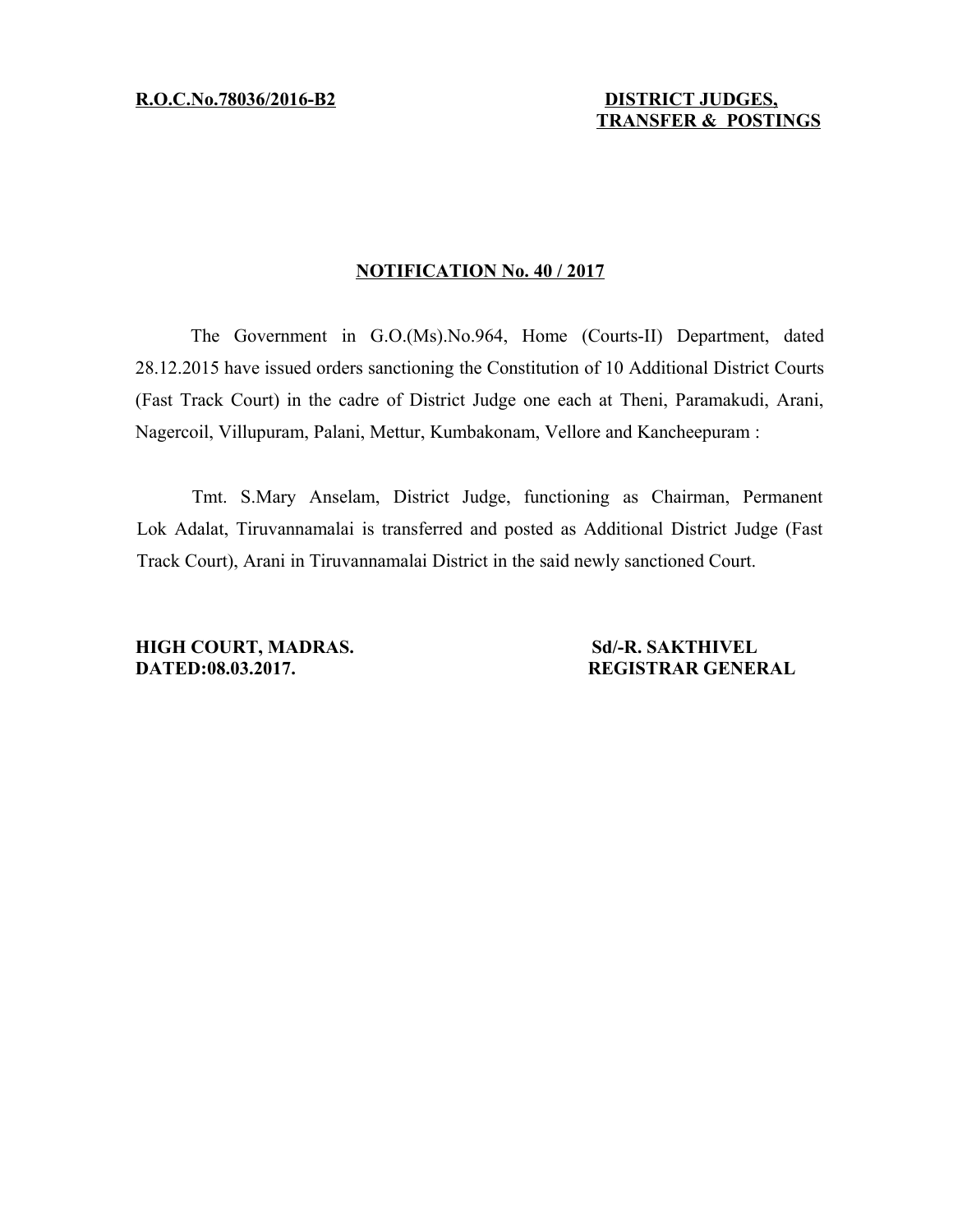**R.O.C.No.78036 /2016-B2 DISTRICT JUDGES,**

## **NOTIFICATION No. 40 / 2017**

The Government in G.O.(Ms).No.964, Home (Courts-II) Department, dated 28.12.2015 have issued orders sanctioning the Constitution of 10 Additional District Courts (Fast Track Court) in the cadre of District Judge one each at Theni, Paramakudi, Arani, Nagercoil, Villupuram, Palani, Mettur, Kumbakonam, Vellore and Kancheepuram :

Tmt. S.Mary Anselam, District Judge, functioning as Chairman, Permanent Lok Adalat, Tiruvannamalai is transferred and posted as Additional District Judge (Fast Track Court), Arani in Tiruvannamalai District in the said newly sanctioned Court.

**HIGH COURT, MADRAS.** Sd/-R. SAKTHIVEL **DATED:08.03.2017.** REGISTRAR GENERAL